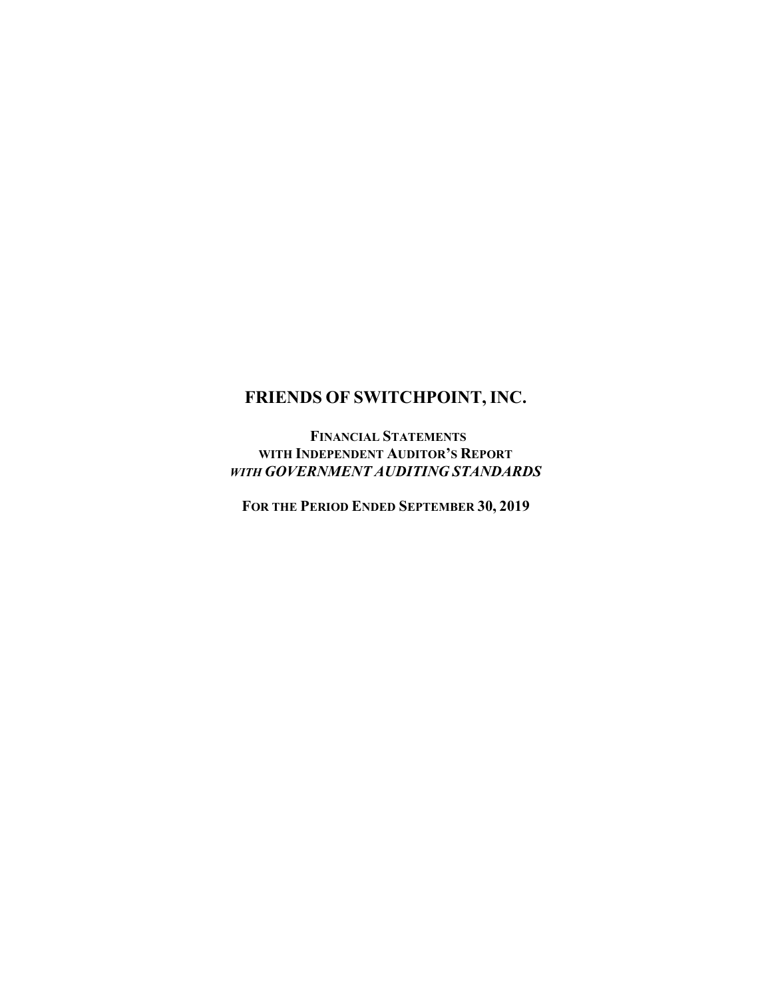# **FRIENDS OF SWITCHPOINT, INC.**

**FINANCIAL STATEMENTS WITH INDEPENDENT AUDITOR'S REPORT** *WITH GOVERNMENT AUDITING STANDARDS*

**FOR THE PERIOD ENDED SEPTEMBER 30, 2019**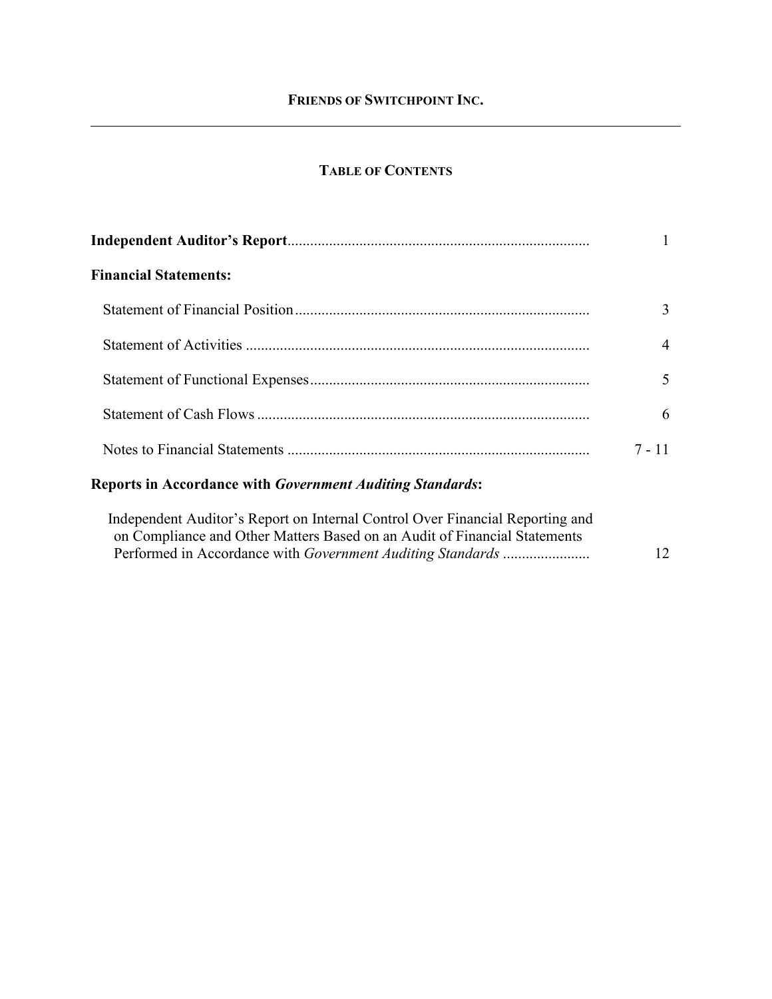# **TABLE OF CONTENTS**

| <b>Financial Statements:</b> |          |
|------------------------------|----------|
|                              | 3        |
|                              |          |
|                              |          |
|                              | 6        |
|                              | $7 - 11$ |

# **Reports in Accordance with** *Government Auditing Standards***:**

| Independent Auditor's Report on Internal Control Over Financial Reporting and |    |
|-------------------------------------------------------------------------------|----|
| on Compliance and Other Matters Based on an Audit of Financial Statements     |    |
|                                                                               | 12 |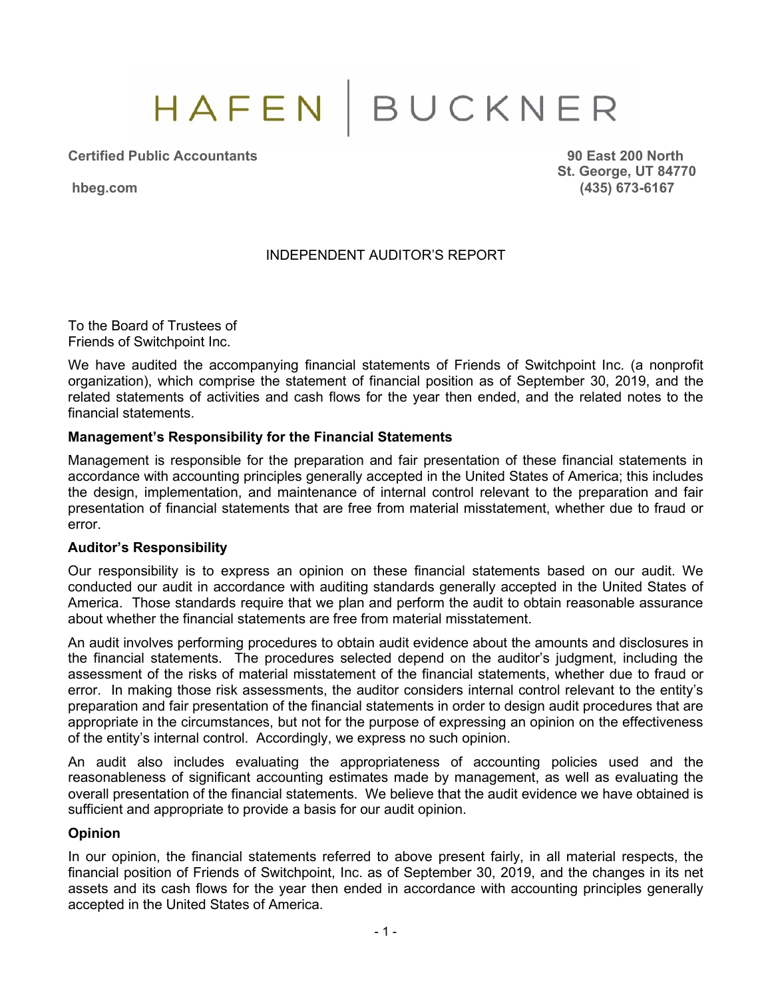# HAFEN BUCKNER

**Certified Public Accountants 90 East 200 North**

 **St. George, UT 84770 hbeg.com (435) 673-6167** 

# INDEPENDENT AUDITOR'S REPORT

To the Board of Trustees of Friends of Switchpoint Inc.

We have audited the accompanying financial statements of Friends of Switchpoint Inc. (a nonprofit organization), which comprise the statement of financial position as of September 30, 2019, and the related statements of activities and cash flows for the year then ended, and the related notes to the financial statements.

# **Management's Responsibility for the Financial Statements**

Management is responsible for the preparation and fair presentation of these financial statements in accordance with accounting principles generally accepted in the United States of America; this includes the design, implementation, and maintenance of internal control relevant to the preparation and fair presentation of financial statements that are free from material misstatement, whether due to fraud or error.

# **Auditor's Responsibility**

Our responsibility is to express an opinion on these financial statements based on our audit. We conducted our audit in accordance with auditing standards generally accepted in the United States of America. Those standards require that we plan and perform the audit to obtain reasonable assurance about whether the financial statements are free from material misstatement.

An audit involves performing procedures to obtain audit evidence about the amounts and disclosures in the financial statements. The procedures selected depend on the auditor's judgment, including the assessment of the risks of material misstatement of the financial statements, whether due to fraud or error. In making those risk assessments, the auditor considers internal control relevant to the entity's preparation and fair presentation of the financial statements in order to design audit procedures that are appropriate in the circumstances, but not for the purpose of expressing an opinion on the effectiveness of the entity's internal control. Accordingly, we express no such opinion.

An audit also includes evaluating the appropriateness of accounting policies used and the reasonableness of significant accounting estimates made by management, as well as evaluating the overall presentation of the financial statements. We believe that the audit evidence we have obtained is sufficient and appropriate to provide a basis for our audit opinion.

# **Opinion**

In our opinion, the financial statements referred to above present fairly, in all material respects, the financial position of Friends of Switchpoint, Inc. as of September 30, 2019, and the changes in its net assets and its cash flows for the year then ended in accordance with accounting principles generally accepted in the United States of America.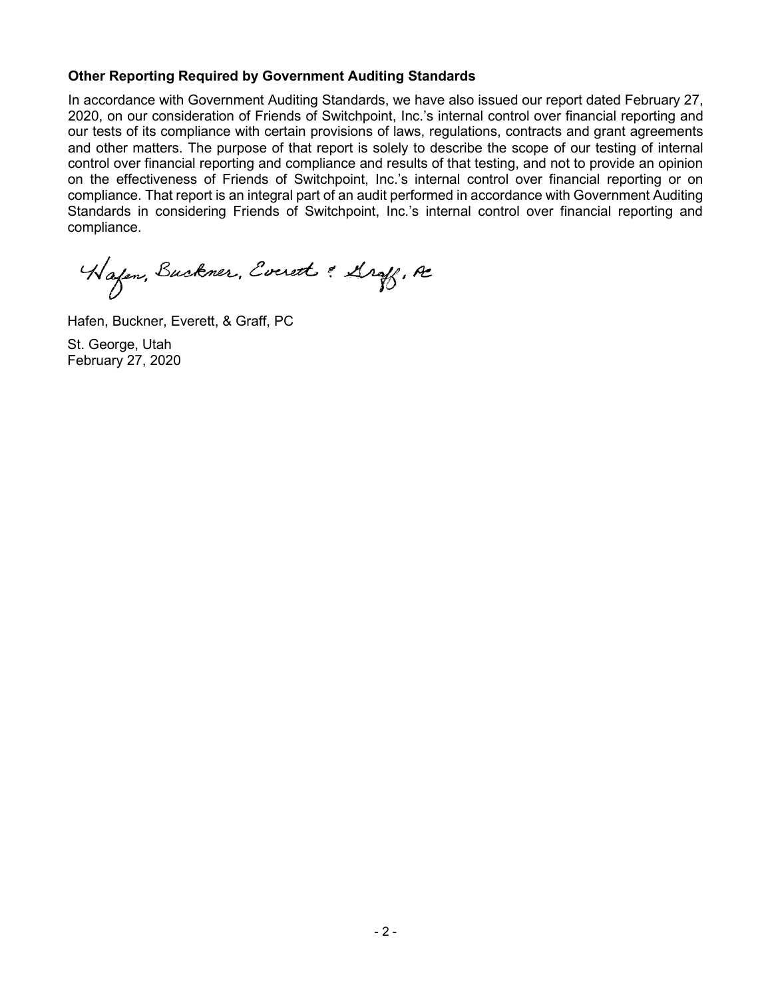# **Other Reporting Required by Government Auditing Standards**

In accordance with Government Auditing Standards, we have also issued our report dated February 27, 2020, on our consideration of Friends of Switchpoint, Inc.'s internal control over financial reporting and our tests of its compliance with certain provisions of laws, regulations, contracts and grant agreements and other matters. The purpose of that report is solely to describe the scope of our testing of internal control over financial reporting and compliance and results of that testing, and not to provide an opinion on the effectiveness of Friends of Switchpoint, Inc.'s internal control over financial reporting or on compliance. That report is an integral part of an audit performed in accordance with Government Auditing Standards in considering Friends of Switchpoint, Inc.'s internal control over financial reporting and compliance.

Wafen, Buckner, Everett ! Graff, A

Hafen, Buckner, Everett, & Graff, PC

St. George, Utah February 27, 2020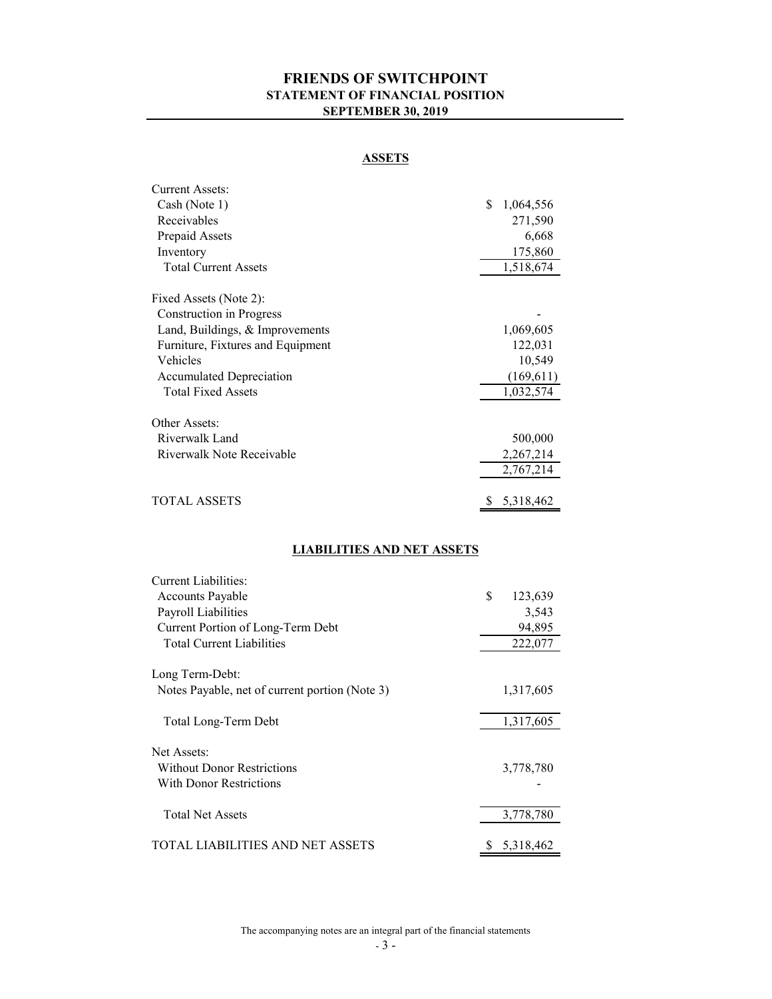#### **FRIENDS OF SWITCHPOINT STATEMENT OF FINANCIAL POSITION SEPTEMBER 30, 2019**

#### **ASSETS**

| <b>Current Assets:</b>            |                |
|-----------------------------------|----------------|
| Cash (Note 1)                     | S<br>1,064,556 |
| Receivables                       | 271,590        |
| Prepaid Assets                    | 6,668          |
| Inventory                         | 175,860        |
| <b>Total Current Assets</b>       | 1,518,674      |
| Fixed Assets (Note 2):            |                |
| <b>Construction in Progress</b>   |                |
| Land, Buildings, & Improvements   | 1,069,605      |
| Furniture, Fixtures and Equipment | 122,031        |
| Vehicles                          | 10,549         |
| Accumulated Depreciation          | (169,611)      |
| <b>Total Fixed Assets</b>         | 1,032,574      |
| Other Assets:                     |                |
| Riverwalk Land                    | 500,000        |
| Riverwalk Note Receivable         | 2,267,214      |
|                                   | 2,767,214      |
| <b>TOTAL ASSETS</b>               | 5,318,462      |
|                                   |                |

#### **LIABILITIES AND NET ASSETS**

| Current Liabilities:                           |                |
|------------------------------------------------|----------------|
| <b>Accounts Payable</b>                        | \$<br>123,639  |
| Payroll Liabilities                            | 3,543          |
| Current Portion of Long-Term Debt              | 94,895         |
| <b>Total Current Liabilities</b>               | 222,077        |
| Long Term-Debt:                                |                |
| Notes Payable, net of current portion (Note 3) | 1,317,605      |
| Total Long-Term Debt                           | 1,317,605      |
| Net Assets:                                    |                |
| <b>Without Donor Restrictions</b>              | 3,778,780      |
| With Donor Restrictions                        |                |
| <b>Total Net Assets</b>                        | 3,778,780      |
| LIABILITIES AND NET ASSETS                     | 5,318,462<br>S |

The accompanying notes are an integral part of the financial statements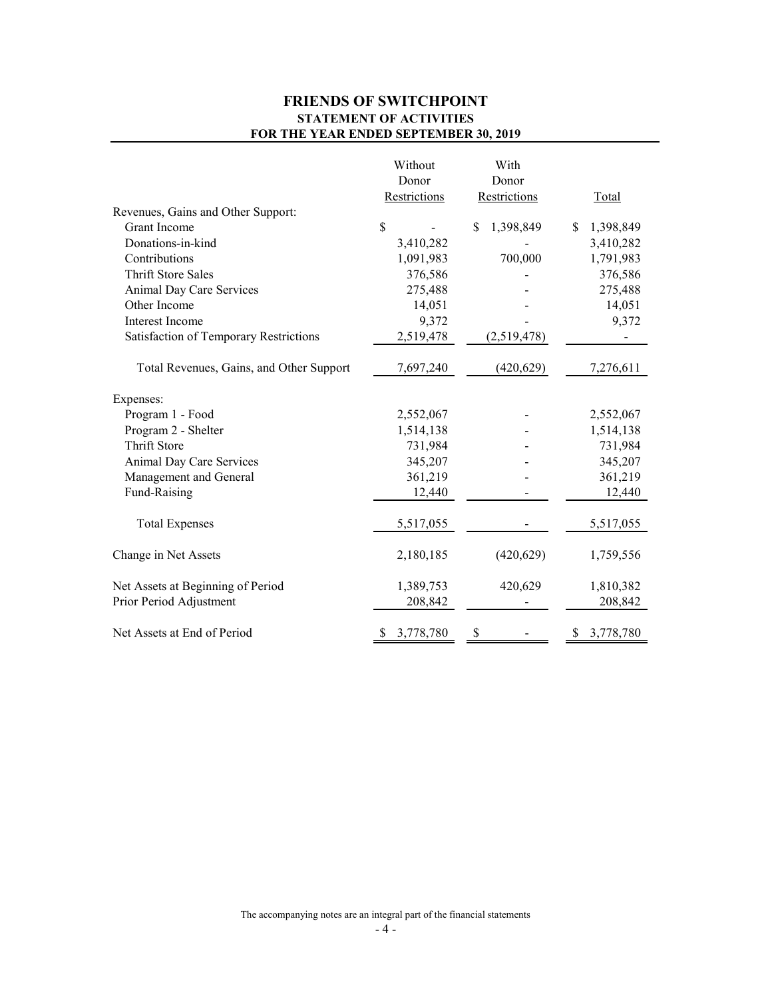# **FRIENDS OF SWITCHPOINT STATEMENT OF ACTIVITIES FOR THE YEAR ENDED SEPTEMBER 30, 2019**

|                                          | Without      | With            |                 |
|------------------------------------------|--------------|-----------------|-----------------|
|                                          | Donor        | Donor           |                 |
|                                          | Restrictions | Restrictions    | Total           |
| Revenues, Gains and Other Support:       |              |                 |                 |
| <b>Grant Income</b>                      | \$           | \$<br>1,398,849 | \$<br>1,398,849 |
| Donations-in-kind                        | 3,410,282    |                 | 3,410,282       |
| Contributions                            | 1,091,983    | 700,000         | 1,791,983       |
| <b>Thrift Store Sales</b>                | 376,586      |                 | 376,586         |
| Animal Day Care Services                 | 275,488      |                 | 275,488         |
| Other Income                             | 14,051       |                 | 14,051          |
| Interest Income                          | 9,372        |                 | 9,372           |
| Satisfaction of Temporary Restrictions   | 2,519,478    | (2,519,478)     |                 |
|                                          |              |                 |                 |
| Total Revenues, Gains, and Other Support | 7,697,240    | (420, 629)      | 7,276,611       |
| Expenses:                                |              |                 |                 |
| Program 1 - Food                         | 2,552,067    |                 | 2,552,067       |
| Program 2 - Shelter                      | 1,514,138    |                 | 1,514,138       |
| <b>Thrift Store</b>                      | 731,984      |                 | 731,984         |
| Animal Day Care Services                 | 345,207      |                 | 345,207         |
| Management and General                   | 361,219      |                 | 361,219         |
| Fund-Raising                             | 12,440       |                 | 12,440          |
|                                          |              |                 |                 |
| <b>Total Expenses</b>                    | 5,517,055    |                 | 5,517,055       |
| Change in Net Assets                     | 2,180,185    | (420, 629)      | 1,759,556       |
| Net Assets at Beginning of Period        | 1,389,753    | 420,629         | 1,810,382       |
| Prior Period Adjustment                  | 208,842      |                 | 208,842         |
| Net Assets at End of Period              | 3,778,780    | \$              | 3,778,780       |

The accompanying notes are an integral part of the financial statements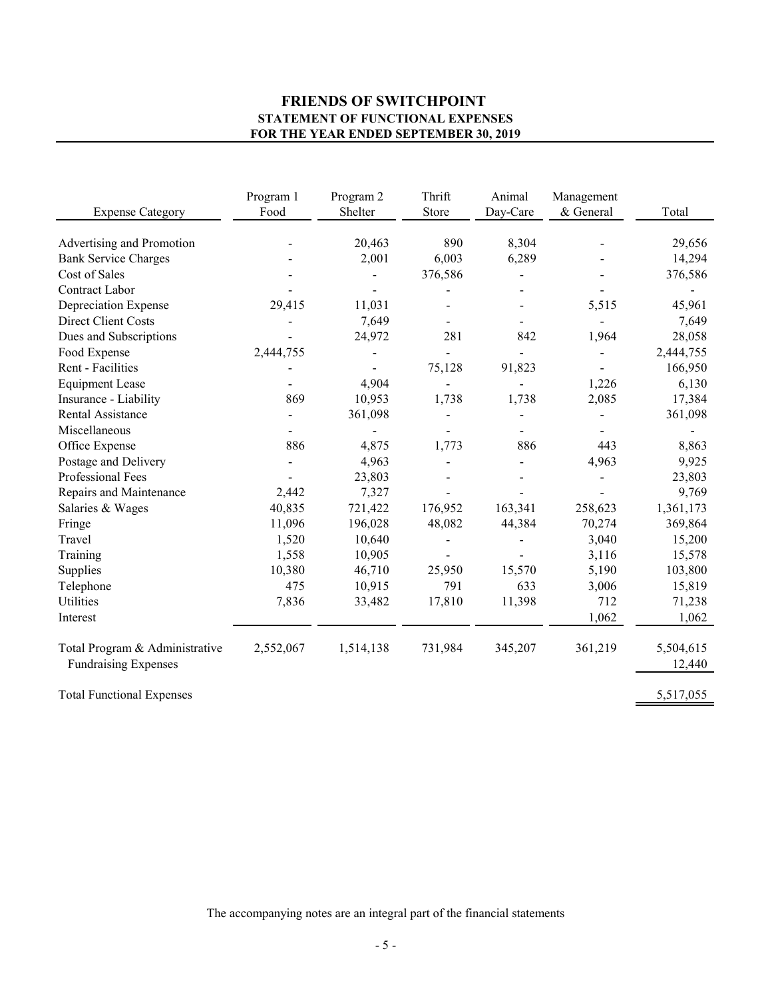# **FRIENDS OF SWITCHPOINT STATEMENT OF FUNCTIONAL EXPENSES FOR THE YEAR ENDED SEPTEMBER 30, 2019**

| <b>Expense Category</b>          | Program 1<br>Food | Program 2<br>Shelter | Thrift<br>Store | Animal<br>Day-Care | Management<br>& General | Total     |
|----------------------------------|-------------------|----------------------|-----------------|--------------------|-------------------------|-----------|
|                                  |                   |                      |                 |                    |                         |           |
| Advertising and Promotion        |                   | 20,463               | 890             | 8,304              |                         | 29,656    |
| <b>Bank Service Charges</b>      |                   | 2,001                | 6,003           | 6,289              |                         | 14,294    |
| Cost of Sales                    |                   |                      | 376,586         |                    |                         | 376,586   |
| Contract Labor                   |                   |                      |                 |                    |                         |           |
| Depreciation Expense             | 29,415            | 11,031               |                 |                    | 5,515                   | 45,961    |
| Direct Client Costs              |                   | 7,649                |                 |                    |                         | 7,649     |
| Dues and Subscriptions           |                   | 24,972               | 281             | 842                | 1,964                   | 28,058    |
| Food Expense                     | 2,444,755         |                      |                 |                    |                         | 2,444,755 |
| Rent - Facilities                |                   |                      | 75,128          | 91,823             |                         | 166,950   |
| <b>Equipment Lease</b>           |                   | 4,904                |                 |                    | 1,226                   | 6,130     |
| Insurance - Liability            | 869               | 10,953               | 1,738           | 1,738              | 2,085                   | 17,384    |
| Rental Assistance                |                   | 361,098              |                 |                    |                         | 361,098   |
| Miscellaneous                    |                   |                      |                 |                    |                         |           |
| Office Expense                   | 886               | 4,875                | 1,773           | 886                | 443                     | 8,863     |
| Postage and Delivery             |                   | 4,963                |                 |                    | 4,963                   | 9,925     |
| Professional Fees                |                   | 23,803               |                 |                    |                         | 23,803    |
| Repairs and Maintenance          | 2,442             | 7,327                |                 |                    |                         | 9,769     |
| Salaries & Wages                 | 40,835            | 721,422              | 176,952         | 163,341            | 258,623                 | 1,361,173 |
| Fringe                           | 11,096            | 196,028              | 48,082          | 44,384             | 70,274                  | 369,864   |
| Travel                           | 1,520             | 10,640               |                 |                    | 3,040                   | 15,200    |
| Training                         | 1,558             | 10,905               | ÷               |                    | 3,116                   | 15,578    |
| Supplies                         | 10,380            | 46,710               | 25,950          | 15,570             | 5,190                   | 103,800   |
| Telephone                        | 475               | 10,915               | 791             | 633                | 3,006                   | 15,819    |
| Utilities                        | 7,836             | 33,482               | 17,810          | 11,398             | 712                     | 71,238    |
| Interest                         |                   |                      |                 |                    | 1,062                   | 1,062     |
| Total Program & Administrative   | 2,552,067         | 1,514,138            | 731,984         | 345,207            | 361,219                 | 5,504,615 |
| <b>Fundraising Expenses</b>      |                   |                      |                 |                    |                         | 12,440    |
| <b>Total Functional Expenses</b> |                   |                      |                 |                    |                         | 5,517,055 |

The accompanying notes are an integral part of the financial statements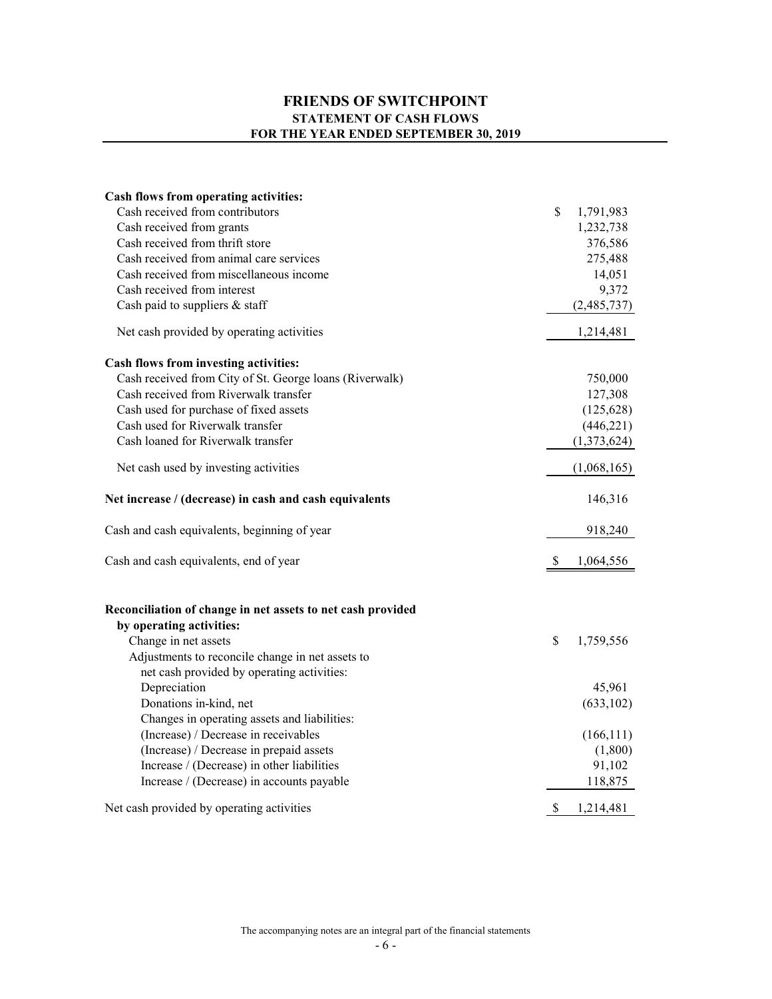# **FRIENDS OF SWITCHPOINT STATEMENT OF CASH FLOWS FOR THE YEAR ENDED SEPTEMBER 30, 2019**

| Cash flows from operating activities:                       |                 |
|-------------------------------------------------------------|-----------------|
| Cash received from contributors                             | \$<br>1,791,983 |
| Cash received from grants                                   | 1,232,738       |
| Cash received from thrift store                             | 376,586         |
| Cash received from animal care services                     | 275,488         |
| Cash received from miscellaneous income                     | 14,051          |
| Cash received from interest                                 | 9,372           |
| Cash paid to suppliers & staff                              | (2,485,737)     |
| Net cash provided by operating activities                   | 1,214,481       |
| Cash flows from investing activities:                       |                 |
| Cash received from City of St. George loans (Riverwalk)     | 750,000         |
| Cash received from Riverwalk transfer                       | 127,308         |
| Cash used for purchase of fixed assets                      | (125, 628)      |
| Cash used for Riverwalk transfer                            | (446, 221)      |
| Cash loaned for Riverwalk transfer                          | (1,373,624)     |
| Net cash used by investing activities                       | (1,068,165)     |
| Net increase / (decrease) in cash and cash equivalents      | 146,316         |
| Cash and cash equivalents, beginning of year                | 918,240         |
| Cash and cash equivalents, end of year                      | \$<br>1,064,556 |
| Reconciliation of change in net assets to net cash provided |                 |
| by operating activities:                                    |                 |
| Change in net assets                                        | \$<br>1,759,556 |
| Adjustments to reconcile change in net assets to            |                 |
| net cash provided by operating activities:                  |                 |
| Depreciation                                                | 45,961          |
| Donations in-kind, net                                      | (633, 102)      |
| Changes in operating assets and liabilities:                |                 |
| (Increase) / Decrease in receivables                        | (166, 111)      |
| (Increase) / Decrease in prepaid assets                     | (1,800)         |
| Increase / (Decrease) in other liabilities                  | 91,102          |
| Increase / (Decrease) in accounts payable                   | 118,875         |
| Net cash provided by operating activities                   | \$<br>1,214,481 |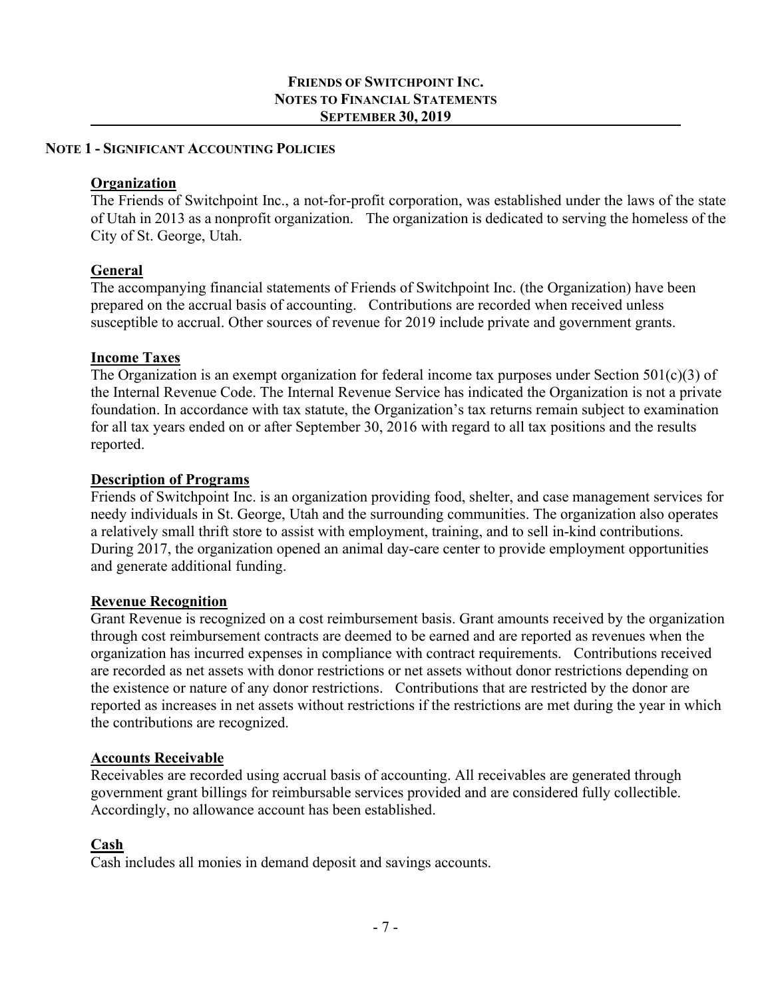#### **NOTE 1 - SIGNIFICANT ACCOUNTING POLICIES**

#### **Organization**

The Friends of Switchpoint Inc., a not-for-profit corporation, was established under the laws of the state of Utah in 2013 as a nonprofit organization. The organization is dedicated to serving the homeless of the City of St. George, Utah.

# **General**

The accompanying financial statements of Friends of Switchpoint Inc. (the Organization) have been prepared on the accrual basis of accounting. Contributions are recorded when received unless susceptible to accrual. Other sources of revenue for 2019 include private and government grants.

# **Income Taxes**

The Organization is an exempt organization for federal income tax purposes under Section  $501(c)(3)$  of the Internal Revenue Code. The Internal Revenue Service has indicated the Organization is not a private foundation. In accordance with tax statute, the Organization's tax returns remain subject to examination for all tax years ended on or after September 30, 2016 with regard to all tax positions and the results reported.

#### **Description of Programs**

Friends of Switchpoint Inc. is an organization providing food, shelter, and case management services for needy individuals in St. George, Utah and the surrounding communities. The organization also operates a relatively small thrift store to assist with employment, training, and to sell in-kind contributions. During 2017, the organization opened an animal day-care center to provide employment opportunities and generate additional funding.

# **Revenue Recognition**

Grant Revenue is recognized on a cost reimbursement basis. Grant amounts received by the organization through cost reimbursement contracts are deemed to be earned and are reported as revenues when the organization has incurred expenses in compliance with contract requirements. Contributions received are recorded as net assets with donor restrictions or net assets without donor restrictions depending on the existence or nature of any donor restrictions. Contributions that are restricted by the donor are reported as increases in net assets without restrictions if the restrictions are met during the year in which the contributions are recognized.

#### **Accounts Receivable**

Receivables are recorded using accrual basis of accounting. All receivables are generated through government grant billings for reimbursable services provided and are considered fully collectible. Accordingly, no allowance account has been established.

# **Cash**

Cash includes all monies in demand deposit and savings accounts.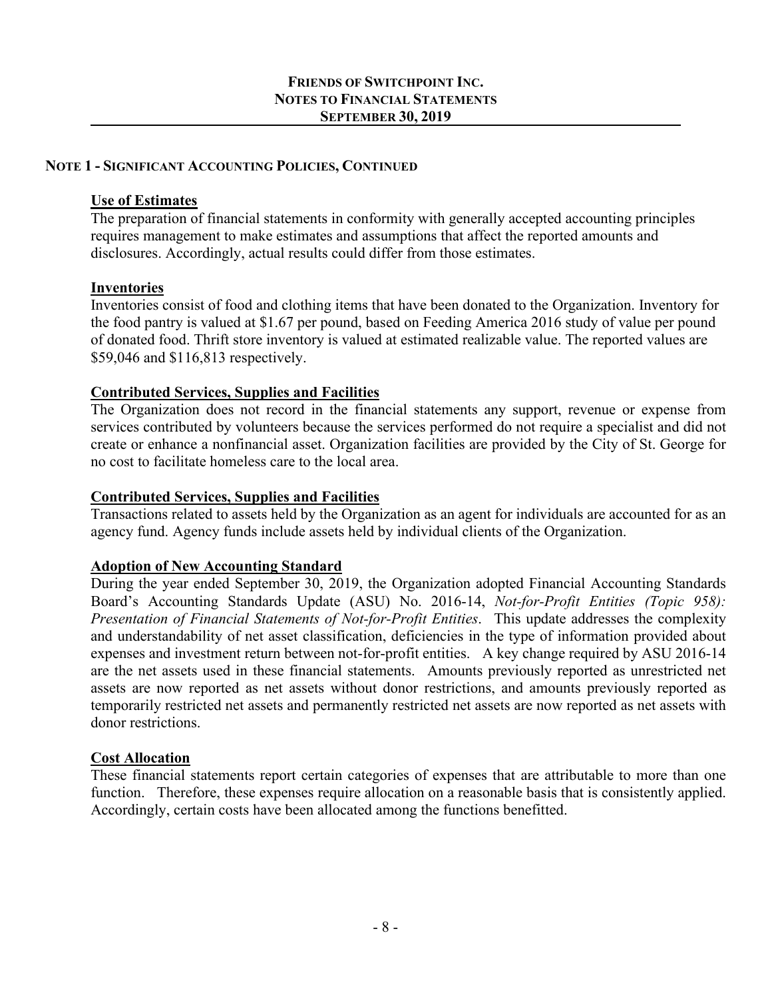# **NOTE 1 - SIGNIFICANT ACCOUNTING POLICIES, CONTINUED**

#### **Use of Estimates**

The preparation of financial statements in conformity with generally accepted accounting principles requires management to make estimates and assumptions that affect the reported amounts and disclosures. Accordingly, actual results could differ from those estimates.

# **Inventories**

Inventories consist of food and clothing items that have been donated to the Organization. Inventory for the food pantry is valued at \$1.67 per pound, based on Feeding America 2016 study of value per pound of donated food. Thrift store inventory is valued at estimated realizable value. The reported values are \$59,046 and \$116,813 respectively.

# **Contributed Services, Supplies and Facilities**

The Organization does not record in the financial statements any support, revenue or expense from services contributed by volunteers because the services performed do not require a specialist and did not create or enhance a nonfinancial asset. Organization facilities are provided by the City of St. George for no cost to facilitate homeless care to the local area.

# **Contributed Services, Supplies and Facilities**

Transactions related to assets held by the Organization as an agent for individuals are accounted for as an agency fund. Agency funds include assets held by individual clients of the Organization.

# **Adoption of New Accounting Standard**

During the year ended September 30, 2019, the Organization adopted Financial Accounting Standards Board's Accounting Standards Update (ASU) No. 2016-14, *Not-for-Profit Entities (Topic 958): Presentation of Financial Statements of Not-for-Profit Entities*. This update addresses the complexity and understandability of net asset classification, deficiencies in the type of information provided about expenses and investment return between not-for-profit entities. A key change required by ASU 2016-14 are the net assets used in these financial statements. Amounts previously reported as unrestricted net assets are now reported as net assets without donor restrictions, and amounts previously reported as temporarily restricted net assets and permanently restricted net assets are now reported as net assets with donor restrictions.

# **Cost Allocation**

These financial statements report certain categories of expenses that are attributable to more than one function. Therefore, these expenses require allocation on a reasonable basis that is consistently applied. Accordingly, certain costs have been allocated among the functions benefitted.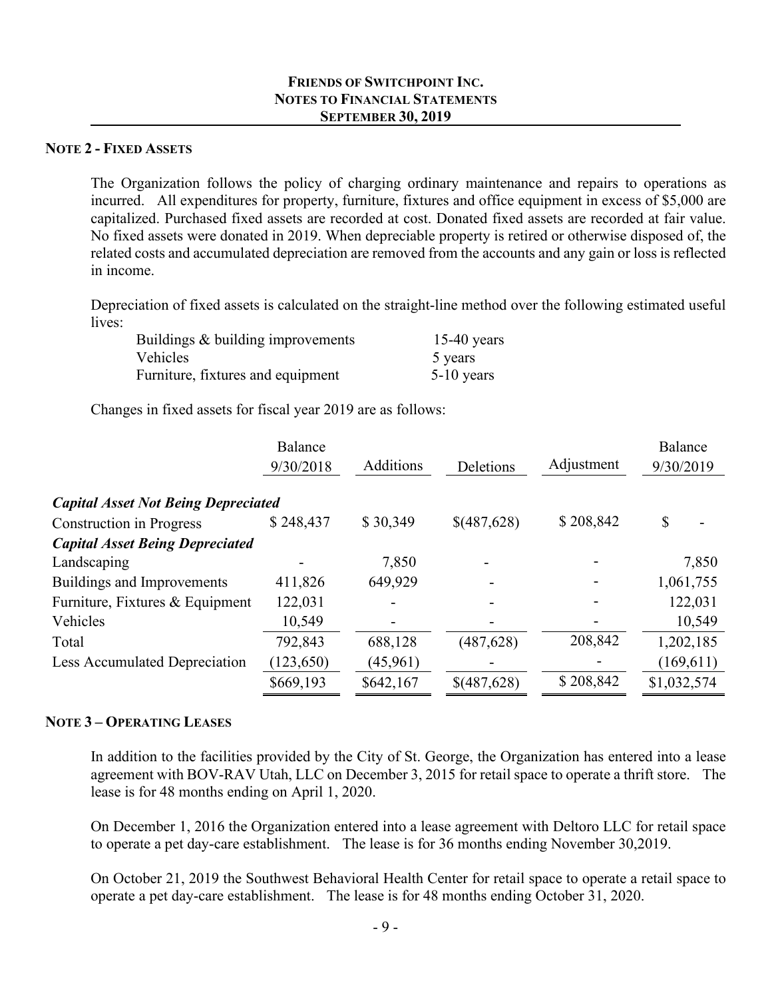# **NOTE 2 - FIXED ASSETS**

The Organization follows the policy of charging ordinary maintenance and repairs to operations as incurred. All expenditures for property, furniture, fixtures and office equipment in excess of \$5,000 are capitalized. Purchased fixed assets are recorded at cost. Donated fixed assets are recorded at fair value. No fixed assets were donated in 2019. When depreciable property is retired or otherwise disposed of, the related costs and accumulated depreciation are removed from the accounts and any gain or loss is reflected in income.

Depreciation of fixed assets is calculated on the straight-line method over the following estimated useful lives:

| Buildings & building improvements | 15-40 years  |
|-----------------------------------|--------------|
| Vehicles                          | 5 years      |
| Furniture, fixtures and equipment | $5-10$ years |

Changes in fixed assets for fiscal year 2019 are as follows:

|                                            | <b>Balance</b> |           |             |            | Balance     |
|--------------------------------------------|----------------|-----------|-------------|------------|-------------|
|                                            | 9/30/2018      | Additions | Deletions   | Adjustment | 9/30/2019   |
|                                            |                |           |             |            |             |
| <b>Capital Asset Not Being Depreciated</b> |                |           |             |            |             |
| <b>Construction in Progress</b>            | \$248,437      | \$30,349  | \$(487,628) | \$208,842  | \$          |
| <b>Capital Asset Being Depreciated</b>     |                |           |             |            |             |
| Landscaping                                |                | 7,850     |             |            | 7,850       |
| Buildings and Improvements                 | 411,826        | 649,929   |             |            | 1,061,755   |
| Furniture, Fixtures & Equipment            | 122,031        |           |             |            | 122,031     |
| Vehicles                                   | 10,549         |           |             |            | 10,549      |
| Total                                      | 792,843        | 688,128   | (487, 628)  | 208,842    | 1,202,185   |
| Less Accumulated Depreciation              | (123, 650)     | (45,961)  |             |            | (169, 611)  |
|                                            | \$669,193      | \$642,167 | \$(487,628) | \$208,842  | \$1,032,574 |

# **NOTE 3 – OPERATING LEASES**

In addition to the facilities provided by the City of St. George, the Organization has entered into a lease agreement with BOV-RAV Utah, LLC on December 3, 2015 for retail space to operate a thrift store. The lease is for 48 months ending on April 1, 2020.

On December 1, 2016 the Organization entered into a lease agreement with Deltoro LLC for retail space to operate a pet day-care establishment. The lease is for 36 months ending November 30,2019.

On October 21, 2019 the Southwest Behavioral Health Center for retail space to operate a retail space to operate a pet day-care establishment. The lease is for 48 months ending October 31, 2020.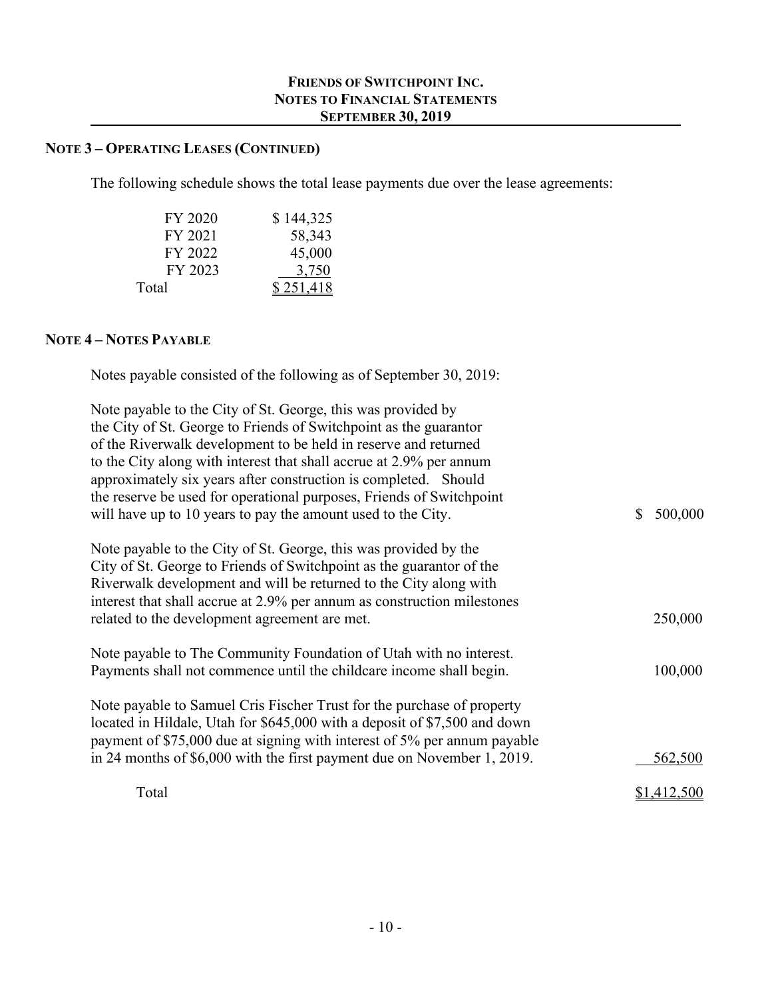# **NOTE 3 – OPERATING LEASES (CONTINUED)**

The following schedule shows the total lease payments due over the lease agreements:

| FY 2020 | \$144,325 |
|---------|-----------|
| FY 2021 | 58,343    |
| FY 2022 | 45,000    |
| FY 2023 | 3,750     |
| Total   | \$251,418 |

# **NOTE 4 – NOTES PAYABLE**

| Notes payable consisted of the following as of September 30, 2019:                                                                                                                                                                                                                                                                                                                                                                                                                     |               |
|----------------------------------------------------------------------------------------------------------------------------------------------------------------------------------------------------------------------------------------------------------------------------------------------------------------------------------------------------------------------------------------------------------------------------------------------------------------------------------------|---------------|
| Note payable to the City of St. George, this was provided by<br>the City of St. George to Friends of Switchpoint as the guarantor<br>of the Riverwalk development to be held in reserve and returned<br>to the City along with interest that shall accrue at 2.9% per annum<br>approximately six years after construction is completed. Should<br>the reserve be used for operational purposes, Friends of Switchpoint<br>will have up to 10 years to pay the amount used to the City. | 500,000<br>\$ |
| Note payable to the City of St. George, this was provided by the<br>City of St. George to Friends of Switchpoint as the guarantor of the<br>Riverwalk development and will be returned to the City along with<br>interest that shall accrue at 2.9% per annum as construction milestones<br>related to the development agreement are met.                                                                                                                                              | 250,000       |
| Note payable to The Community Foundation of Utah with no interest.<br>Payments shall not commence until the childcare income shall begin.                                                                                                                                                                                                                                                                                                                                              | 100,000       |
| Note payable to Samuel Cris Fischer Trust for the purchase of property<br>located in Hildale, Utah for \$645,000 with a deposit of \$7,500 and down<br>payment of \$75,000 due at signing with interest of 5% per annum payable<br>in 24 months of \$6,000 with the first payment due on November 1, 2019.                                                                                                                                                                             | 562,500       |
| Total                                                                                                                                                                                                                                                                                                                                                                                                                                                                                  | \$1,412,500   |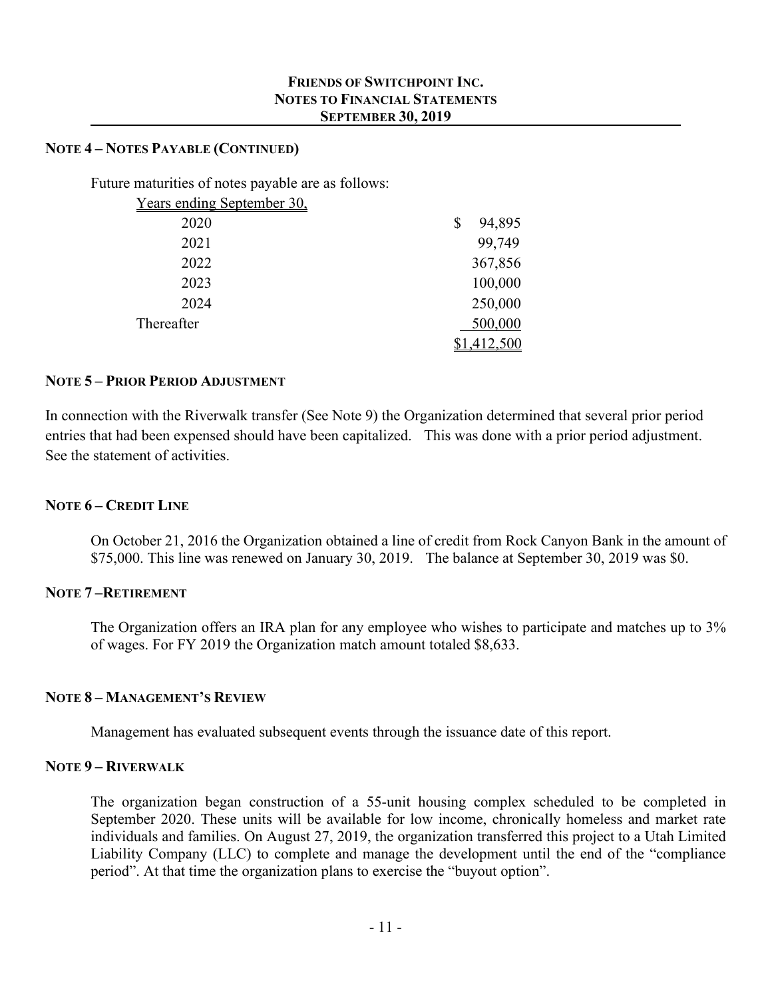# **NOTE 4 – NOTES PAYABLE (CONTINUED)**

Future maturities of notes payable are as follows:

| Years ending September 30, |              |
|----------------------------|--------------|
| 2020                       | 94,895<br>\$ |
| 2021                       | 99,749       |
| 2022                       | 367,856      |
| 2023                       | 100,000      |
| 2024                       | 250,000      |
| Thereafter                 | 500,000      |
|                            | .412,500     |

#### **NOTE 5 – PRIOR PERIOD ADJUSTMENT**

In connection with the Riverwalk transfer (See Note 9) the Organization determined that several prior period entries that had been expensed should have been capitalized. This was done with a prior period adjustment. See the statement of activities.

#### **NOTE 6 – CREDIT LINE**

On October 21, 2016 the Organization obtained a line of credit from Rock Canyon Bank in the amount of \$75,000. This line was renewed on January 30, 2019. The balance at September 30, 2019 was \$0.

# **NOTE 7 –RETIREMENT**

The Organization offers an IRA plan for any employee who wishes to participate and matches up to 3% of wages. For FY 2019 the Organization match amount totaled \$8,633.

#### **NOTE 8 – MANAGEMENT'S REVIEW**

Management has evaluated subsequent events through the issuance date of this report.

#### **NOTE 9 – RIVERWALK**

The organization began construction of a 55-unit housing complex scheduled to be completed in September 2020. These units will be available for low income, chronically homeless and market rate individuals and families. On August 27, 2019, the organization transferred this project to a Utah Limited Liability Company (LLC) to complete and manage the development until the end of the "compliance period". At that time the organization plans to exercise the "buyout option".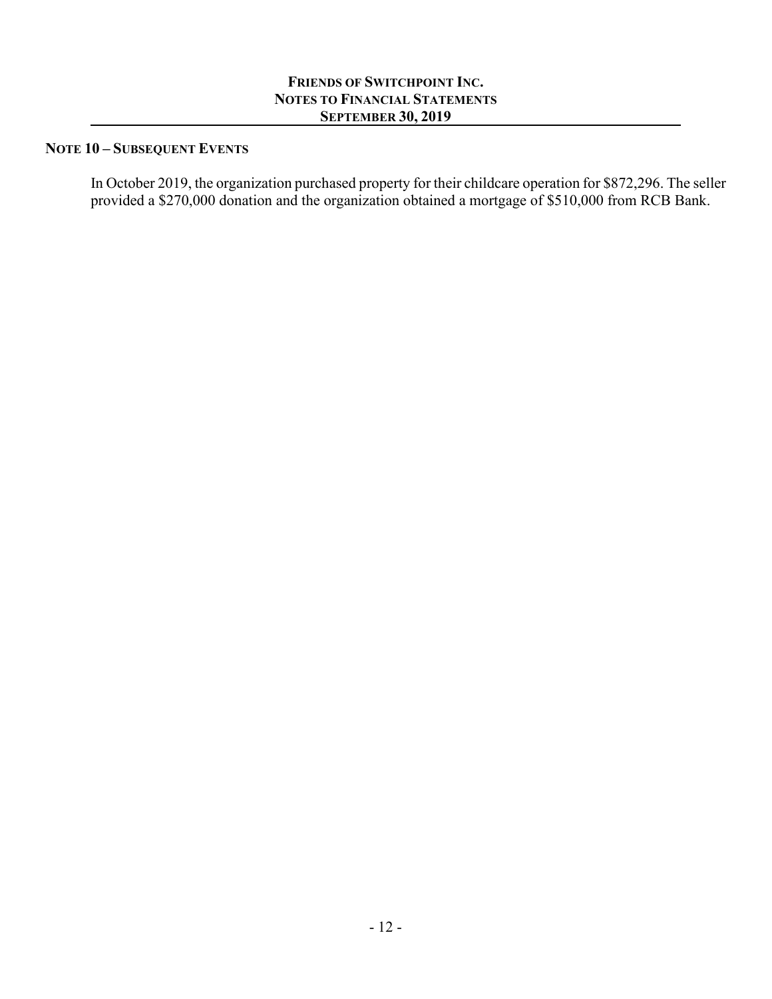# **NOTE 10 – SUBSEQUENT EVENTS**

In October 2019, the organization purchased property for their childcare operation for \$872,296. The seller provided a \$270,000 donation and the organization obtained a mortgage of \$510,000 from RCB Bank.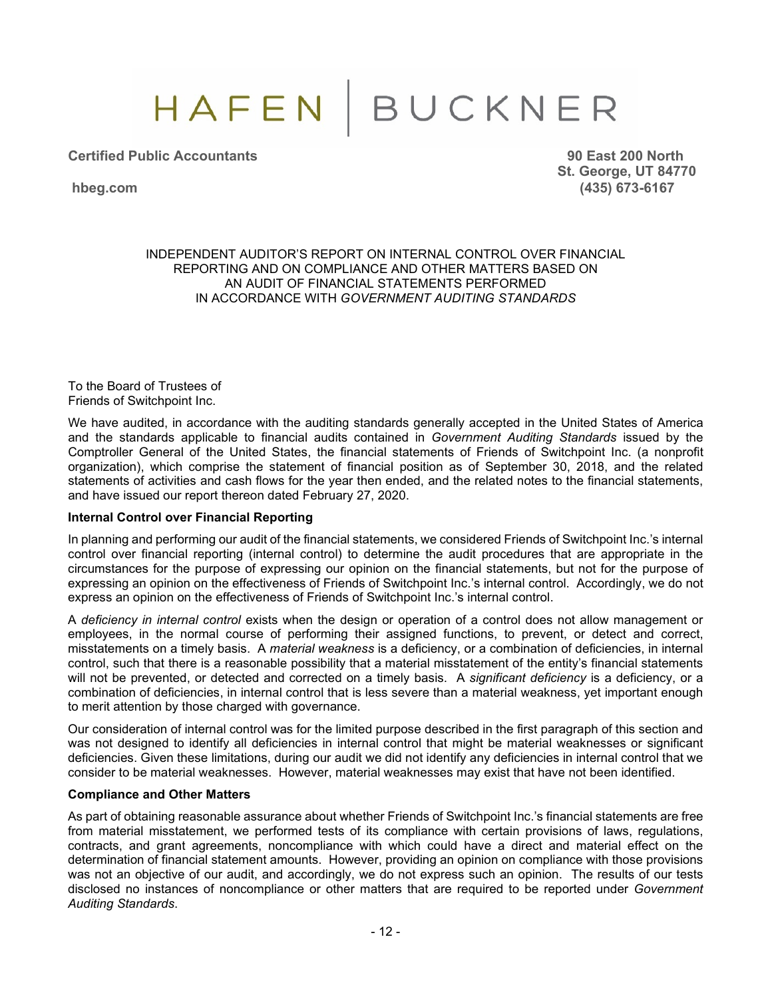# HAFEN BUCKNER

**Certified Public Accountants 90 East 200 North**

 **St. George, UT 84770 hbeg.com (435) 673-6167** 

#### INDEPENDENT AUDITOR'S REPORT ON INTERNAL CONTROL OVER FINANCIAL REPORTING AND ON COMPLIANCE AND OTHER MATTERS BASED ON AN AUDIT OF FINANCIAL STATEMENTS PERFORMED IN ACCORDANCE WITH *GOVERNMENT AUDITING STANDARDS*

To the Board of Trustees of Friends of Switchpoint Inc.

We have audited, in accordance with the auditing standards generally accepted in the United States of America and the standards applicable to financial audits contained in *Government Auditing Standards* issued by the Comptroller General of the United States, the financial statements of Friends of Switchpoint Inc. (a nonprofit organization), which comprise the statement of financial position as of September 30, 2018, and the related statements of activities and cash flows for the year then ended, and the related notes to the financial statements, and have issued our report thereon dated February 27, 2020.

#### **Internal Control over Financial Reporting**

In planning and performing our audit of the financial statements, we considered Friends of Switchpoint Inc.'s internal control over financial reporting (internal control) to determine the audit procedures that are appropriate in the circumstances for the purpose of expressing our opinion on the financial statements, but not for the purpose of expressing an opinion on the effectiveness of Friends of Switchpoint Inc.'s internal control. Accordingly, we do not express an opinion on the effectiveness of Friends of Switchpoint Inc.'s internal control.

A *deficiency in internal control* exists when the design or operation of a control does not allow management or employees, in the normal course of performing their assigned functions, to prevent, or detect and correct, misstatements on a timely basis. A *material weakness* is a deficiency, or a combination of deficiencies, in internal control, such that there is a reasonable possibility that a material misstatement of the entity's financial statements will not be prevented, or detected and corrected on a timely basis. A *significant deficiency* is a deficiency, or a combination of deficiencies, in internal control that is less severe than a material weakness, yet important enough to merit attention by those charged with governance.

Our consideration of internal control was for the limited purpose described in the first paragraph of this section and was not designed to identify all deficiencies in internal control that might be material weaknesses or significant deficiencies. Given these limitations, during our audit we did not identify any deficiencies in internal control that we consider to be material weaknesses. However, material weaknesses may exist that have not been identified.

#### **Compliance and Other Matters**

As part of obtaining reasonable assurance about whether Friends of Switchpoint Inc.'s financial statements are free from material misstatement, we performed tests of its compliance with certain provisions of laws, regulations, contracts, and grant agreements, noncompliance with which could have a direct and material effect on the determination of financial statement amounts. However, providing an opinion on compliance with those provisions was not an objective of our audit, and accordingly, we do not express such an opinion. The results of our tests disclosed no instances of noncompliance or other matters that are required to be reported under *Government Auditing Standards*.